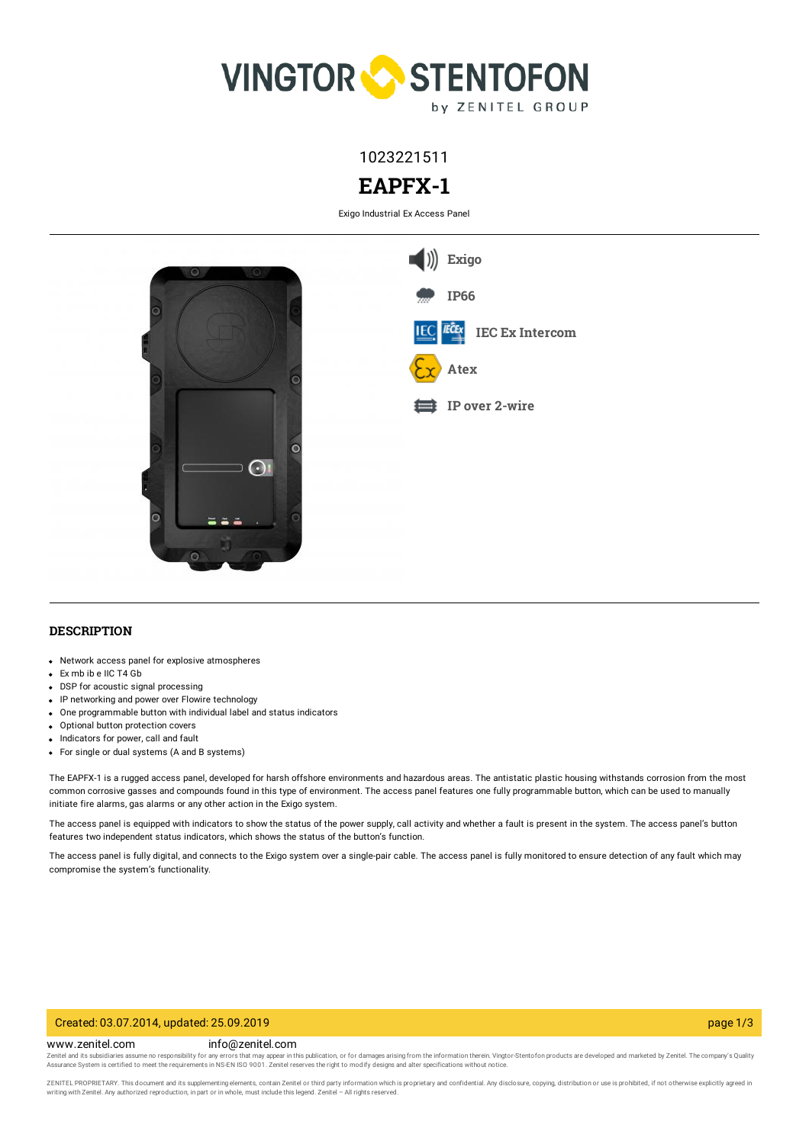

1023221511

# **EAPFX-1**

Exigo Industrial Ex Access Panel



## **DESCRIPTION**

- Network access panel for explosive atmospheres
- Ex mb ib e IIC T4 Gb
- DSP for acoustic signal processing
- IP networking and power over Flowire technology
- One programmable button with individual label and status indicators
- Optional button protection covers
- Indicators for power, call and fault
- For single or dual systems (A and B systems)

The EAPFX-1 is a rugged access panel, developed for harsh offshore environments and hazardous areas. The antistatic plastic housing withstands corrosion from the most common corrosive gasses and compounds found in this type of environment. The access panel features one fully programmable button, which can be used to manually initiate fire alarms, gas alarms or any other action in the Exigo system.

The access panel is equipped with indicators to show the status of the power supply, call activity and whether a fault is present in the system. The access panel's button features two independent status indicators, which shows the status of the button's function.

The access panel is fully digital, and connects to the Exigo system over a single-pair cable. The access panel is fully monitored to ensure detection of any fault which may compromise the system's functionality.

#### Created: 03.07.2014, updated: 25.09.2019 page 1/3

www.zenitel.com info@zenitel.com

Zenitel and its subsidiaries assume no responsibility for any errors that may appear in this publication, or for damages arising from the information therein. Vingtor-Stentofon products are developed and marketed by Zenite

ZENITEL PROPRIETARY. This document and its supplementing elements, contain Zenitel or third party information which is proprietary and confidential. Any disclosure, copying, distribution or use is prohibited, if not otherw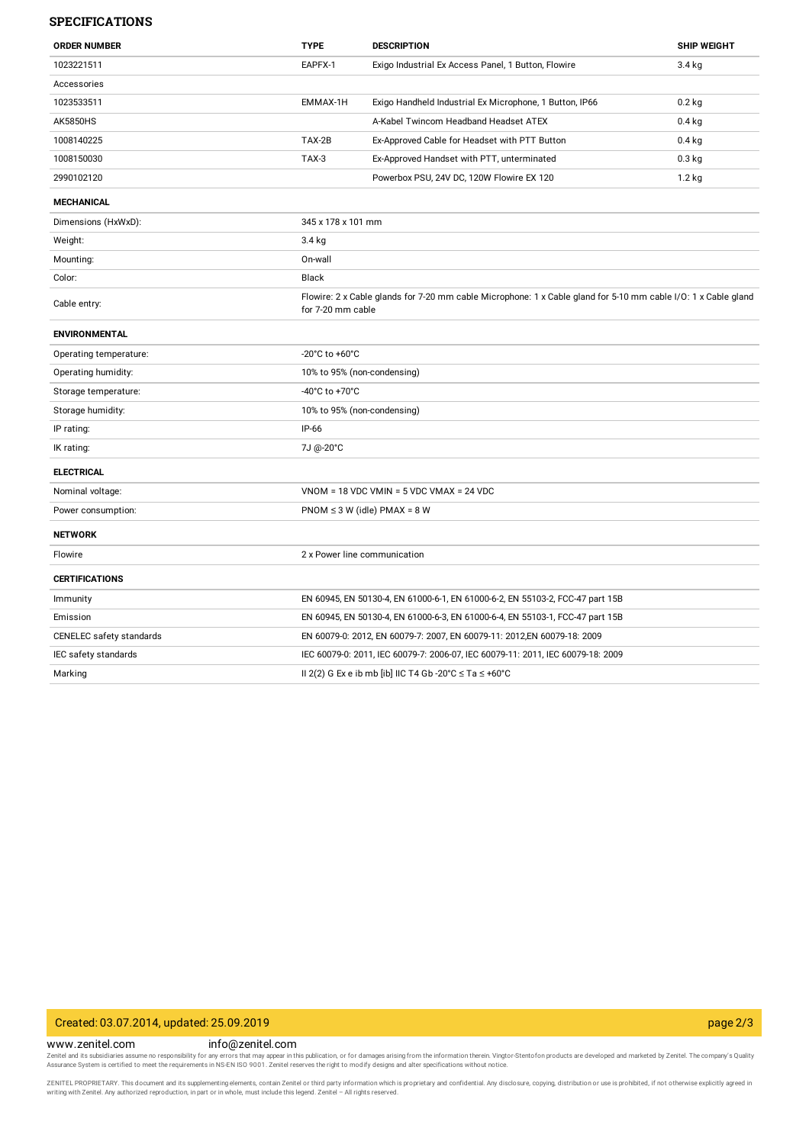### **SPECIFICATIONS**

| <b>ORDER NUMBER</b>      | <b>TYPE</b>                                                                                                                         | <b>DESCRIPTION</b>                                                              | <b>SHIP WEIGHT</b> |
|--------------------------|-------------------------------------------------------------------------------------------------------------------------------------|---------------------------------------------------------------------------------|--------------------|
| 1023221511               | EAPFX-1                                                                                                                             | Exigo Industrial Ex Access Panel, 1 Button, Flowire                             | $3.4$ kg           |
| Accessories              |                                                                                                                                     |                                                                                 |                    |
| 1023533511               | EMMAX-1H                                                                                                                            | Exigo Handheld Industrial Ex Microphone, 1 Button, IP66                         | $0.2$ kg           |
| <b>AK5850HS</b>          |                                                                                                                                     | A-Kabel Twincom Headband Headset ATEX                                           | $0.4$ kg           |
| 1008140225               | TAX-2B                                                                                                                              | Ex-Approved Cable for Headset with PTT Button                                   | $0.4$ kg           |
| 1008150030               | TAX-3                                                                                                                               | Ex-Approved Handset with PTT, unterminated                                      | $0.3$ kg           |
| 2990102120               |                                                                                                                                     | Powerbox PSU, 24V DC, 120W Flowire EX 120                                       | $1.2$ kg           |
| <b>MECHANICAL</b>        |                                                                                                                                     |                                                                                 |                    |
| Dimensions (HxWxD):      | 345 x 178 x 101 mm                                                                                                                  |                                                                                 |                    |
| Weight:                  | $3.4$ kg                                                                                                                            |                                                                                 |                    |
| Mounting:                | On-wall                                                                                                                             |                                                                                 |                    |
| Color:                   | <b>Black</b>                                                                                                                        |                                                                                 |                    |
| Cable entry:             | Flowire: 2 x Cable glands for 7-20 mm cable Microphone: 1 x Cable gland for 5-10 mm cable I/O: 1 x Cable gland<br>for 7-20 mm cable |                                                                                 |                    |
| <b>ENVIRONMENTAL</b>     |                                                                                                                                     |                                                                                 |                    |
| Operating temperature:   | -20 $^{\circ}$ C to +60 $^{\circ}$ C                                                                                                |                                                                                 |                    |
| Operating humidity:      | 10% to 95% (non-condensing)                                                                                                         |                                                                                 |                    |
| Storage temperature:     | -40°C to +70°C                                                                                                                      |                                                                                 |                    |
| Storage humidity:        | 10% to 95% (non-condensing)                                                                                                         |                                                                                 |                    |
| IP rating:               | IP-66                                                                                                                               |                                                                                 |                    |
| IK rating:               | 7J @-20°C                                                                                                                           |                                                                                 |                    |
| <b>ELECTRICAL</b>        |                                                                                                                                     |                                                                                 |                    |
| Nominal voltage:         |                                                                                                                                     | $VNOM = 18 VDC VMIN = 5 VDC VMAX = 24 VDC$                                      |                    |
| Power consumption:       | $PNOM \leq 3 W$ (idle) $PMAX = 8 W$                                                                                                 |                                                                                 |                    |
| <b>NETWORK</b>           |                                                                                                                                     |                                                                                 |                    |
| Flowire                  | 2 x Power line communication                                                                                                        |                                                                                 |                    |
| <b>CERTIFICATIONS</b>    |                                                                                                                                     |                                                                                 |                    |
| Immunity                 |                                                                                                                                     | EN 60945, EN 50130-4, EN 61000-6-1, EN 61000-6-2, EN 55103-2, FCC-47 part 15B   |                    |
| Emission                 | EN 60945, EN 50130-4, EN 61000-6-3, EN 61000-6-4, EN 55103-1, FCC-47 part 15B                                                       |                                                                                 |                    |
| CENELEC safety standards |                                                                                                                                     | EN 60079-0: 2012, EN 60079-7: 2007, EN 60079-11: 2012,EN 60079-18: 2009         |                    |
| IEC safety standards     |                                                                                                                                     | IEC 60079-0: 2011, IEC 60079-7: 2006-07, IEC 60079-11: 2011, IEC 60079-18: 2009 |                    |
| Marking                  |                                                                                                                                     | II 2(2) G Ex e ib mb [ib] IIC T4 Gb -20°C $\leq$ Ta $\leq$ +60°C                |                    |

# Created: 03.07.2014, updated: 25.09.2019 page 2/3

www.zenitel.com info@zenitel.com

Zenitel and its subsidiaries assume no responsibility for any errors that may appear in this publication, or for damages arising from the information therein. Vingtor-Stentofon products are developed and marketed by Zenite

ZENITEL PROPRIETARY. This document and its supplementing elements, contain Zenitel or third party information which is proprietary and confidential. Any disclosure, copying, distribution or use is prohibited, if not otherw